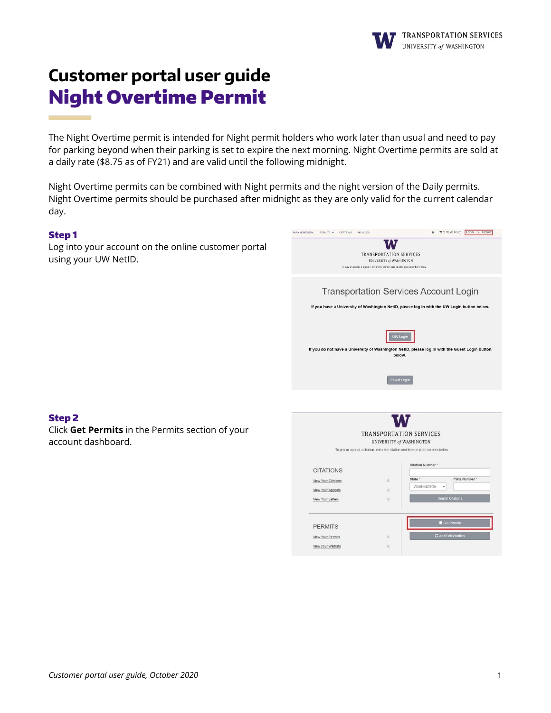# **Customer portal user guide** Night Overtime Permit

The Night Overtime permit is intended for Night permit holders who work later than usual and need to pay for parking beyond when their parking is set to expire the next morning. Night Overtime permits are sold at a daily rate (\$8.75 as of FY21) and are valid until the following midnight.

Night Overtime permits can be combined with Night permits and the night version of the Daily permits. Night Overtime permits should be purchased after midnight as they are only valid for the current calendar day.

## Step 1

Step 2

account dashboard.

Log into your account on the online customer portal using your UW NetID.

Click **Get Permits** in the Permits section of your

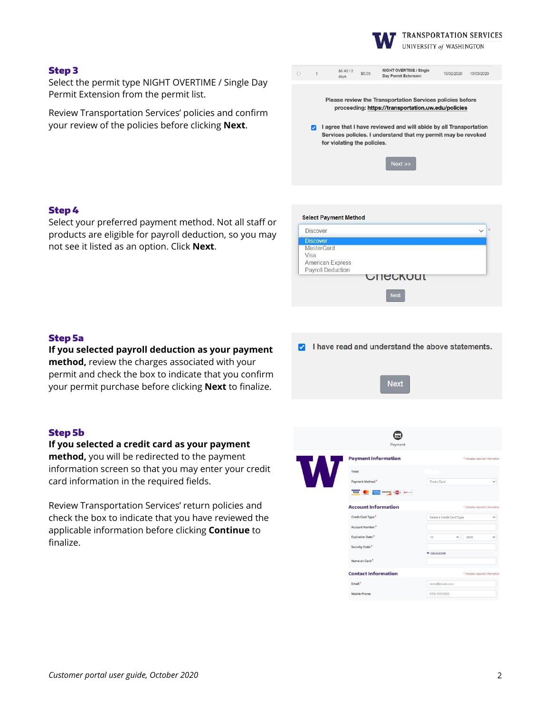

**TRANSPORTATION SERVICES** UNIVERSITY of WASHINGTON

#### Step 3

Select the permit type NIGHT OVERTIME / Single Day Permit Extension from the permit list.

Review Transportation Services' policies and confirm your review of the policies before clicking **Next**.

|                                                                                                                 |   | \$8.40 / 2<br>days                                                                                                                                                | \$0.00 | NIGHT OVERTIME / Single<br>Day Permit Extension | 10/02/2020 | 10/03/2020 |
|-----------------------------------------------------------------------------------------------------------------|---|-------------------------------------------------------------------------------------------------------------------------------------------------------------------|--------|-------------------------------------------------|------------|------------|
| Please review the Transportation Services policies before<br>proceeding: https://transportation.uw.edu/policies |   |                                                                                                                                                                   |        |                                                 |            |            |
|                                                                                                                 | M | I agree that I have reviewed and will abide by all Transportation<br>Services policies. I understand that my permit may be revoked<br>for violating the policies. |        |                                                 |            |            |
|                                                                                                                 |   |                                                                                                                                                                   |        | $Next$ $>$                                      |            |            |

## Step 4

Select your preferred payment method. Not all staff or products are eligible for payroll deduction, so you may not see it listed as an option. Click **Next**.



#### Step 5a

**If you selected payroll deduction as your payment method,** review the charges associated with your permit and check the box to indicate that you confirm your permit purchase before clicking **Next** to finalize.

#### Step 5b

**If you selected a credit card as your payment method,** you will be redirected to the payment information screen so that you may enter your credit card information in the required fields.

Review Transportation Services' return policies and check the box to indicate that you have reviewed the applicable information before clicking **Continue** to finalize.



I have read and understand the above statements.

**Next**